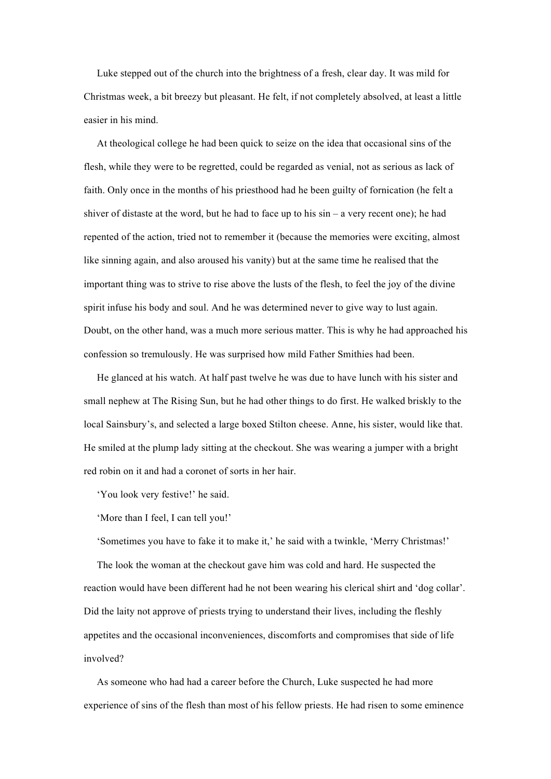Luke stepped out of the church into the brightness of a fresh, clear day. It was mild for Christmas week, a bit breezy but pleasant. He felt, if not completely absolved, at least a little easier in his mind.

At theological college he had been quick to seize on the idea that occasional sins of the flesh, while they were to be regretted, could be regarded as venial, not as serious as lack of faith. Only once in the months of his priesthood had he been guilty of fornication (he felt a shiver of distaste at the word, but he had to face up to his  $sin - a$  very recent one); he had repented of the action, tried not to remember it (because the memories were exciting, almost like sinning again, and also aroused his vanity) but at the same time he realised that the important thing was to strive to rise above the lusts of the flesh, to feel the joy of the divine spirit infuse his body and soul. And he was determined never to give way to lust again. Doubt, on the other hand, was a much more serious matter. This is why he had approached his confession so tremulously. He was surprised how mild Father Smithies had been.

He glanced at his watch. At half past twelve he was due to have lunch with his sister and small nephew at The Rising Sun, but he had other things to do first. He walked briskly to the local Sainsbury's, and selected a large boxed Stilton cheese. Anne, his sister, would like that. He smiled at the plump lady sitting at the checkout. She was wearing a jumper with a bright red robin on it and had a coronet of sorts in her hair.

'You look very festive!' he said.

'More than I feel, I can tell you!'

'Sometimes you have to fake it to make it,' he said with a twinkle, 'Merry Christmas!'

The look the woman at the checkout gave him was cold and hard. He suspected the reaction would have been different had he not been wearing his clerical shirt and 'dog collar'. Did the laity not approve of priests trying to understand their lives, including the fleshly appetites and the occasional inconveniences, discomforts and compromises that side of life involved?

As someone who had had a career before the Church, Luke suspected he had more experience of sins of the flesh than most of his fellow priests. He had risen to some eminence